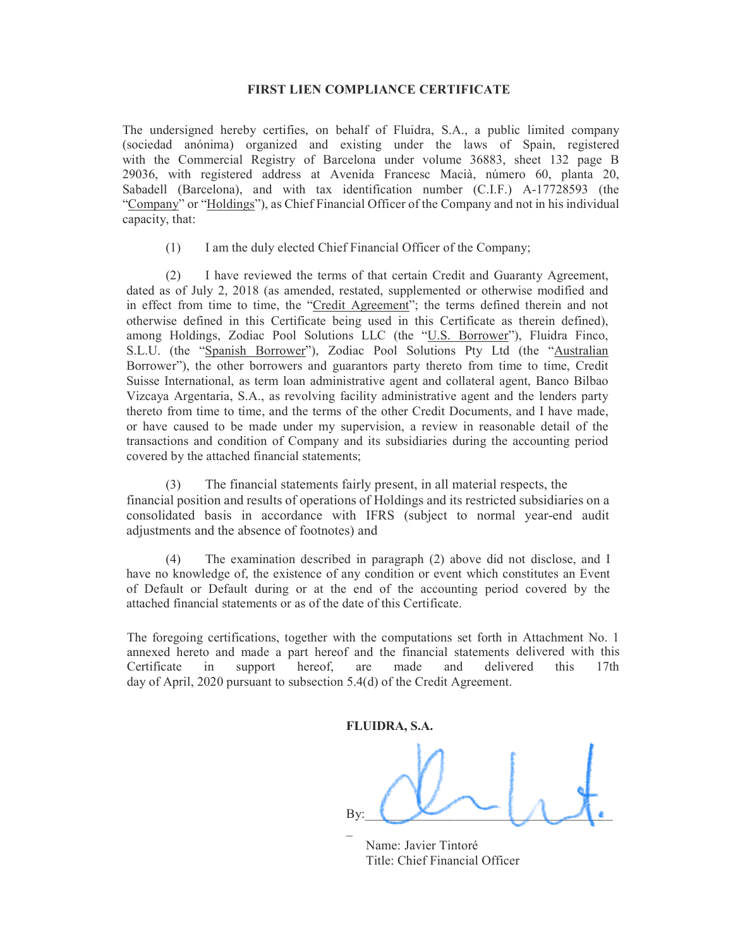## FIRST LIEN COMPLIANCE CERTIFICATE

The undersigned hereby certifies, on behalf of Fluidra, S.A., a public limited company (sociedad anónima) organized and existing under the laws of Spain, registered with the Commercial Registry of Barcelona under volume 36883, sheet 132 page B 29036, with registered address at Avenida Francesc Macià, número 60, planta 20, Sabadell (Barcelona), and with tax identification number (C.I.F.) A-17728593 (the "Company" or "Holdings"), as Chief Financial Officer of the Company and not in his individual capacity, that:

(1) I am the duly elected Chief Financial Officer of the Company;

(2) I have reviewed the terms of that certain Credit and Guaranty Agreement, dated as of July 2, 2018 (as amended, restated, supplemented or otherwise modified and in effect from time to time, the "Credit Agreement"; the terms defined therein and not otherwise defined in this Certificate being used in this Certificate as therein defined), among Holdings, Zodiac Pool Solutions LLC (the "U.S. Borrower"), Fluidra Finco, S.L.U. (the "Spanish Borrower"), Zodiac Pool Solutions Pty Ltd (the "Australian Borrower"), the other borrowers and guarantors party thereto from time to time, Credit Suisse International, as term loan administrative agent and collateral agent, Banco Bilbao Vizcaya Argentaria, S.A., as revolving facility administrative agent and the lenders party thereto from time to time, and the terms of the other Credit Documents, and I have made, or have caused to be made under my supervision, a review in reasonable detail of the transactions and condition of Company and its subsidiaries during the accounting period covered by the attached financial statements;

(3) The financial statements fairly present, in all material respects, the financial position and results of operations of Holdings and its restricted subsidiaries on a consolidated basis in accordance with IFRS (subject to normal year-end audit adjustments and the absence of footnotes) and

(4) The examination described in paragraph (2) above did not disclose, and I have no knowledge of, the existence of any condition or event which constitutes an Event of Default or Default during or at the end of the accounting period covered by the attached financial statements or as of the date of this Certificate.

The foregoing certifications, together with the computations set forth in Attachment No. 1 annexed hereto and made a part hereof and the financial statements delivered with this Certificate in support hereof, are made and delivered this 17th day of April, 2020 pursuant to subsection 5.4(d) of the Credit Agreement.

FLUIDRA, S.A.

By:  $\bigcup_{k=1}^{\infty}$   $\bigcup_{k=1}^{\infty}$   $\bigcup_{k=1}^{\infty}$  $\mathcal{L}(\mathcal{L})$ 

 Name: Javier Tintoré Title: Chief Financial Officer